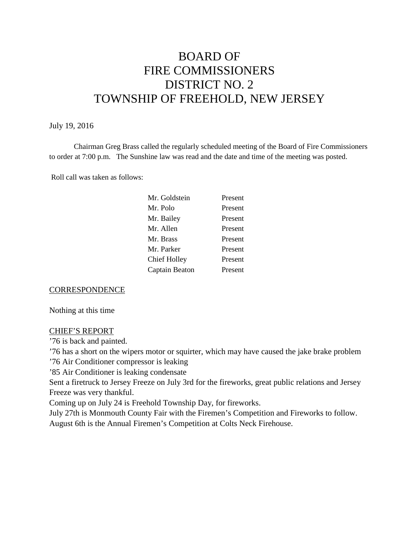# BOARD OF FIRE COMMISSIONERS DISTRICT NO. 2 TOWNSHIP OF FREEHOLD, NEW JERSEY

#### July 19, 2016

Chairman Greg Brass called the regularly scheduled meeting of the Board of Fire Commissioners to order at 7:00 p.m. The Sunshine law was read and the date and time of the meeting was posted.

Roll call was taken as follows:

| Present |
|---------|
| Present |
| Present |
| Present |
| Present |
| Present |
| Present |
| Present |
|         |

#### **CORRESPONDENCE**

Nothing at this time

#### CHIEF'S REPORT

'76 is back and painted.

'76 has a short on the wipers motor or squirter, which may have caused the jake brake problem

'76 Air Conditioner compressor is leaking

'85 Air Conditioner is leaking condensate

Sent a firetruck to Jersey Freeze on July 3rd for the fireworks, great public relations and Jersey Freeze was very thankful.

Coming up on July 24 is Freehold Township Day, for fireworks.

July 27th is Monmouth County Fair with the Firemen's Competition and Fireworks to follow. August 6th is the Annual Firemen's Competition at Colts Neck Firehouse.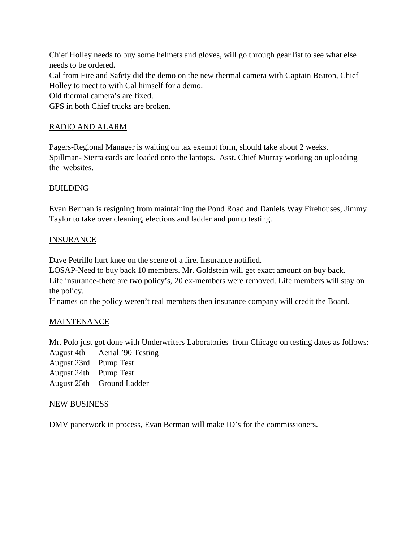Chief Holley needs to buy some helmets and gloves, will go through gear list to see what else needs to be ordered. Cal from Fire and Safety did the demo on the new thermal camera with Captain Beaton, Chief Holley to meet to with Cal himself for a demo. Old thermal camera's are fixed. GPS in both Chief trucks are broken.

# RADIO AND ALARM

Pagers-Regional Manager is waiting on tax exempt form, should take about 2 weeks. Spillman- Sierra cards are loaded onto the laptops. Asst. Chief Murray working on uploading the websites.

## **BUILDING**

Evan Berman is resigning from maintaining the Pond Road and Daniels Way Firehouses, Jimmy Taylor to take over cleaning, elections and ladder and pump testing.

## **INSURANCE**

Dave Petrillo hurt knee on the scene of a fire. Insurance notified.

LOSAP-Need to buy back 10 members. Mr. Goldstein will get exact amount on buy back. Life insurance-there are two policy's, 20 ex-members were removed. Life members will stay on the policy.

If names on the policy weren't real members then insurance company will credit the Board.

## **MAINTENANCE**

Mr. Polo just got done with Underwriters Laboratories from Chicago on testing dates as follows: August 4th Aerial '90 Testing

- August 23rd Pump Test
- August 24th Pump Test
- August 25th Ground Ladder

#### NEW BUSINESS

DMV paperwork in process, Evan Berman will make ID's for the commissioners.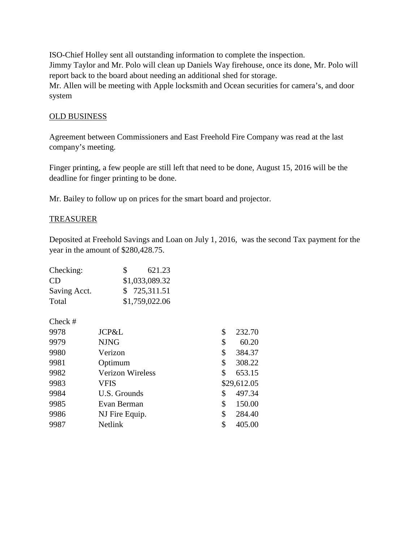ISO-Chief Holley sent all outstanding information to complete the inspection. Jimmy Taylor and Mr. Polo will clean up Daniels Way firehouse, once its done, Mr. Polo will report back to the board about needing an additional shed for storage. Mr. Allen will be meeting with Apple locksmith and Ocean securities for camera's, and door system

## OLD BUSINESS

Agreement between Commissioners and East Freehold Fire Company was read at the last company's meeting.

Finger printing, a few people are still left that need to be done, August 15, 2016 will be the deadline for finger printing to be done.

Mr. Bailey to follow up on prices for the smart board and projector.

#### TREASURER

Deposited at Freehold Savings and Loan on July 1, 2016, was the second Tax payment for the year in the amount of \$280,428.75.

| Checking:    | S.             | 621.23 |
|--------------|----------------|--------|
| CD.          | \$1,033,089.32 |        |
| Saving Acct. | \$725,311.51   |        |
| Total        | \$1,759,022.06 |        |

Check #

| 9978 | JCP&L                   | \$<br>232.70 |
|------|-------------------------|--------------|
| 9979 | <b>NJNG</b>             | \$<br>60.20  |
| 9980 | Verizon                 | \$<br>384.37 |
| 9981 | Optimum                 | \$<br>308.22 |
| 9982 | <b>Verizon Wireless</b> | \$<br>653.15 |
| 9983 | VFIS                    | \$29,612.05  |
| 9984 | U.S. Grounds            | \$<br>497.34 |
| 9985 | Evan Berman             | \$<br>150.00 |
| 9986 | NJ Fire Equip.          | \$<br>284.40 |
| 9987 | Netlink                 | \$<br>405.00 |